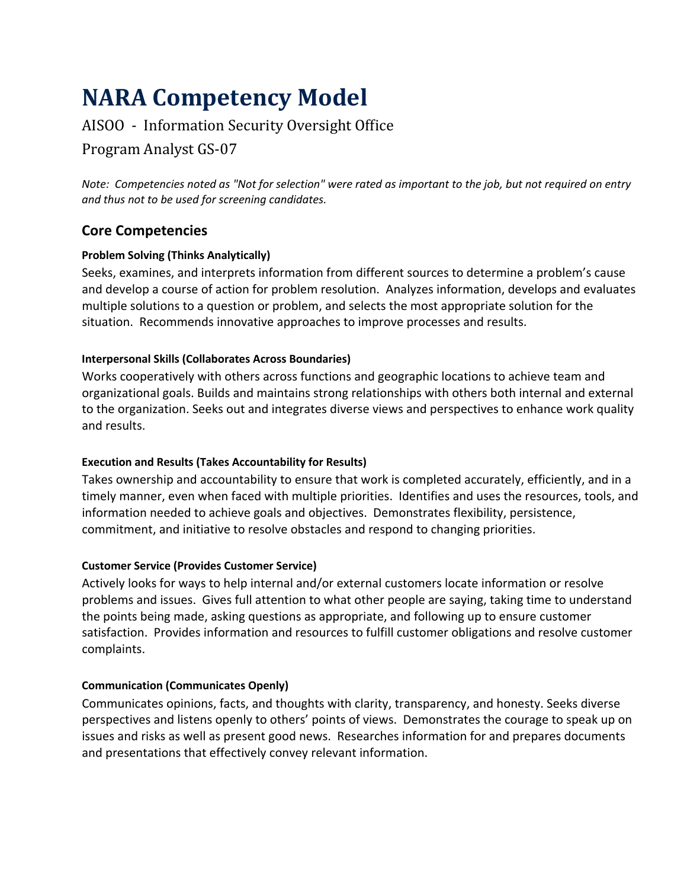# **NARA Competency Model**

# AISOO - Information Security Oversight Office

## Program Analyst GS-07

*Note: Competencies noted as "Not for selection" were rated as important to the job, but not required on entry and thus not to be used for screening candidates.*

## **Core Competencies**

#### **Problem Solving (Thinks Analytically)**

Seeks, examines, and interprets information from different sources to determine a problem's cause and develop a course of action for problem resolution. Analyzes information, develops and evaluates multiple solutions to a question or problem, and selects the most appropriate solution for the situation. Recommends innovative approaches to improve processes and results.

#### **Interpersonal Skills (Collaborates Across Boundaries)**

Works cooperatively with others across functions and geographic locations to achieve team and organizational goals. Builds and maintains strong relationships with others both internal and external to the organization. Seeks out and integrates diverse views and perspectives to enhance work quality and results.

#### **Execution and Results (Takes Accountability for Results)**

Takes ownership and accountability to ensure that work is completed accurately, efficiently, and in a timely manner, even when faced with multiple priorities. Identifies and uses the resources, tools, and information needed to achieve goals and objectives. Demonstrates flexibility, persistence, commitment, and initiative to resolve obstacles and respond to changing priorities.

#### **Customer Service (Provides Customer Service)**

Actively looks for ways to help internal and/or external customers locate information or resolve problems and issues. Gives full attention to what other people are saying, taking time to understand the points being made, asking questions as appropriate, and following up to ensure customer satisfaction. Provides information and resources to fulfill customer obligations and resolve customer complaints.

#### **Communication (Communicates Openly)**

Communicates opinions, facts, and thoughts with clarity, transparency, and honesty. Seeks diverse perspectives and listens openly to others' points of views. Demonstrates the courage to speak up on issues and risks as well as present good news. Researches information for and prepares documents and presentations that effectively convey relevant information.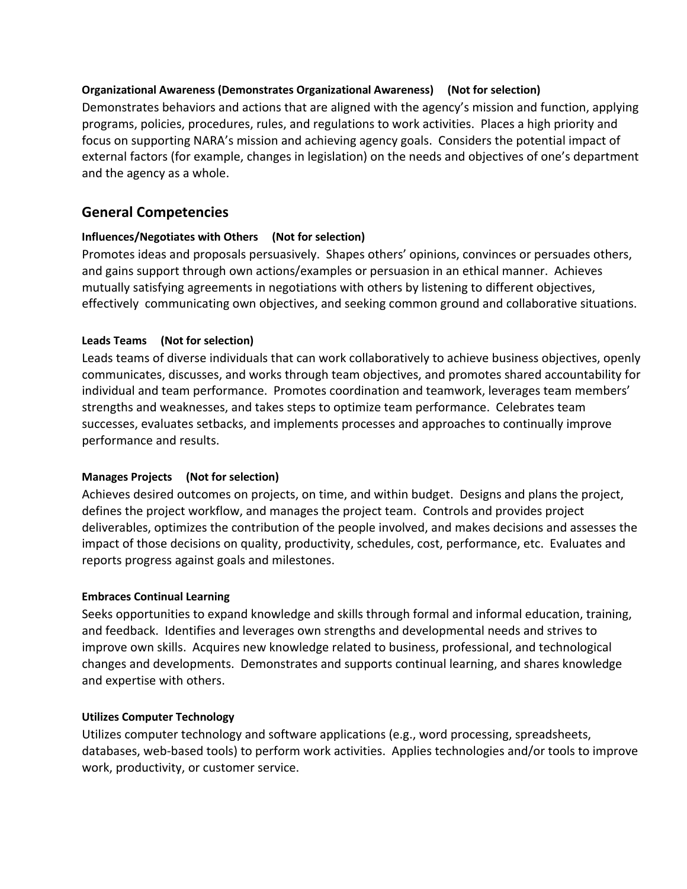#### **Organizational Awareness (Demonstrates Organizational Awareness) (Not for selection)**

Demonstrates behaviors and actions that are aligned with the agency's mission and function, applying programs, policies, procedures, rules, and regulations to work activities. Places a high priority and focus on supporting NARA's mission and achieving agency goals. Considers the potential impact of external factors (for example, changes in legislation) on the needs and objectives of one's department and the agency as a whole.

## **General Competencies**

#### **Influences/Negotiates with Others (Not for selection)**

Promotes ideas and proposals persuasively. Shapes others' opinions, convinces or persuades others, and gains support through own actions/examples or persuasion in an ethical manner. Achieves mutually satisfying agreements in negotiations with others by listening to different objectives, effectively communicating own objectives, and seeking common ground and collaborative situations.

#### **Leads Teams (Not for selection)**

Leads teams of diverse individuals that can work collaboratively to achieve business objectives, openly communicates, discusses, and works through team objectives, and promotes shared accountability for individual and team performance. Promotes coordination and teamwork, leverages team members' strengths and weaknesses, and takes steps to optimize team performance. Celebrates team successes, evaluates setbacks, and implements processes and approaches to continually improve performance and results.

#### **Manages Projects (Not for selection)**

Achieves desired outcomes on projects, on time, and within budget. Designs and plans the project, defines the project workflow, and manages the project team. Controls and provides project deliverables, optimizes the contribution of the people involved, and makes decisions and assesses the impact of those decisions on quality, productivity, schedules, cost, performance, etc. Evaluates and reports progress against goals and milestones.

#### **Embraces Continual Learning**

Seeks opportunities to expand knowledge and skills through formal and informal education, training, and feedback. Identifies and leverages own strengths and developmental needs and strives to improve own skills. Acquires new knowledge related to business, professional, and technological changes and developments. Demonstrates and supports continual learning, and shares knowledge and expertise with others.

#### **Utilizes Computer Technology**

Utilizes computer technology and software applications (e.g., word processing, spreadsheets, databases, web-based tools) to perform work activities. Applies technologies and/or tools to improve work, productivity, or customer service.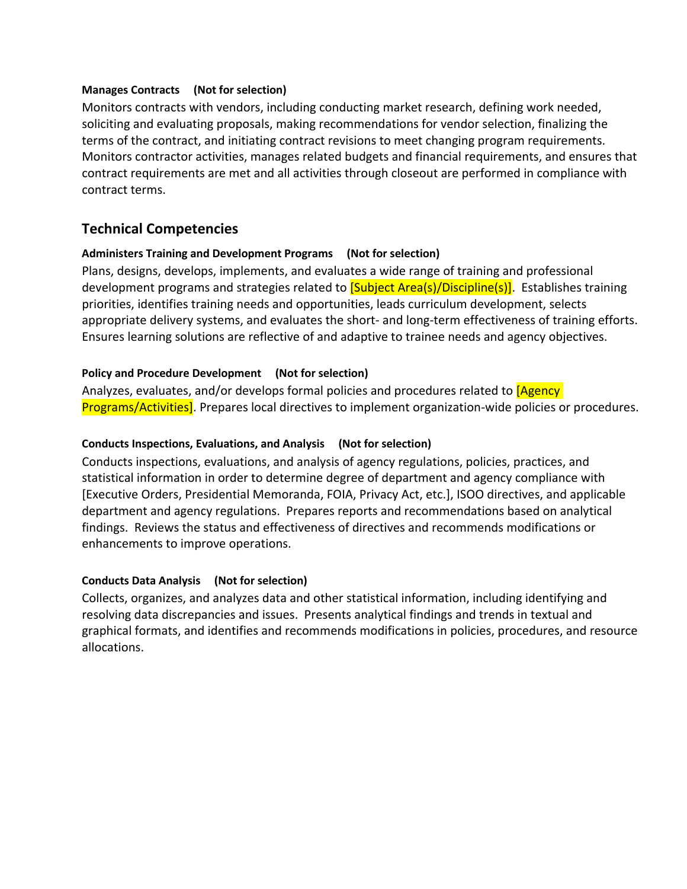#### **Manages Contracts (Not for selection)**

Monitors contracts with vendors, including conducting market research, defining work needed, soliciting and evaluating proposals, making recommendations for vendor selection, finalizing the terms of the contract, and initiating contract revisions to meet changing program requirements. Monitors contractor activities, manages related budgets and financial requirements, and ensures that contract requirements are met and all activities through closeout are performed in compliance with contract terms.

### **Technical Competencies**

#### **Administers Training and Development Programs (Not for selection)**

Plans, designs, develops, implements, and evaluates a wide range of training and professional development programs and strategies related to **[Subject Area(s)/Discipline(s)]**. Establishes training priorities, identifies training needs and opportunities, leads curriculum development, selects appropriate delivery systems, and evaluates the short- and long-term effectiveness of training efforts. Ensures learning solutions are reflective of and adaptive to trainee needs and agency objectives.

#### **Policy and Procedure Development (Not for selection)**

Analyzes, evaluates, and/or develops formal policies and procedures related to **[Agency**] Programs/Activities]. Prepares local directives to implement organization-wide policies or procedures.

#### **Conducts Inspections, Evaluations, and Analysis (Not for selection)**

Conducts inspections, evaluations, and analysis of agency regulations, policies, practices, and statistical information in order to determine degree of department and agency compliance with [Executive Orders, Presidential Memoranda, FOIA, Privacy Act, etc.], ISOO directives, and applicable department and agency regulations. Prepares reports and recommendations based on analytical findings. Reviews the status and effectiveness of directives and recommends modifications or enhancements to improve operations.

#### **Conducts Data Analysis (Not for selection)**

Collects, organizes, and analyzes data and other statistical information, including identifying and resolving data discrepancies and issues. Presents analytical findings and trends in textual and graphical formats, and identifies and recommends modifications in policies, procedures, and resource allocations.